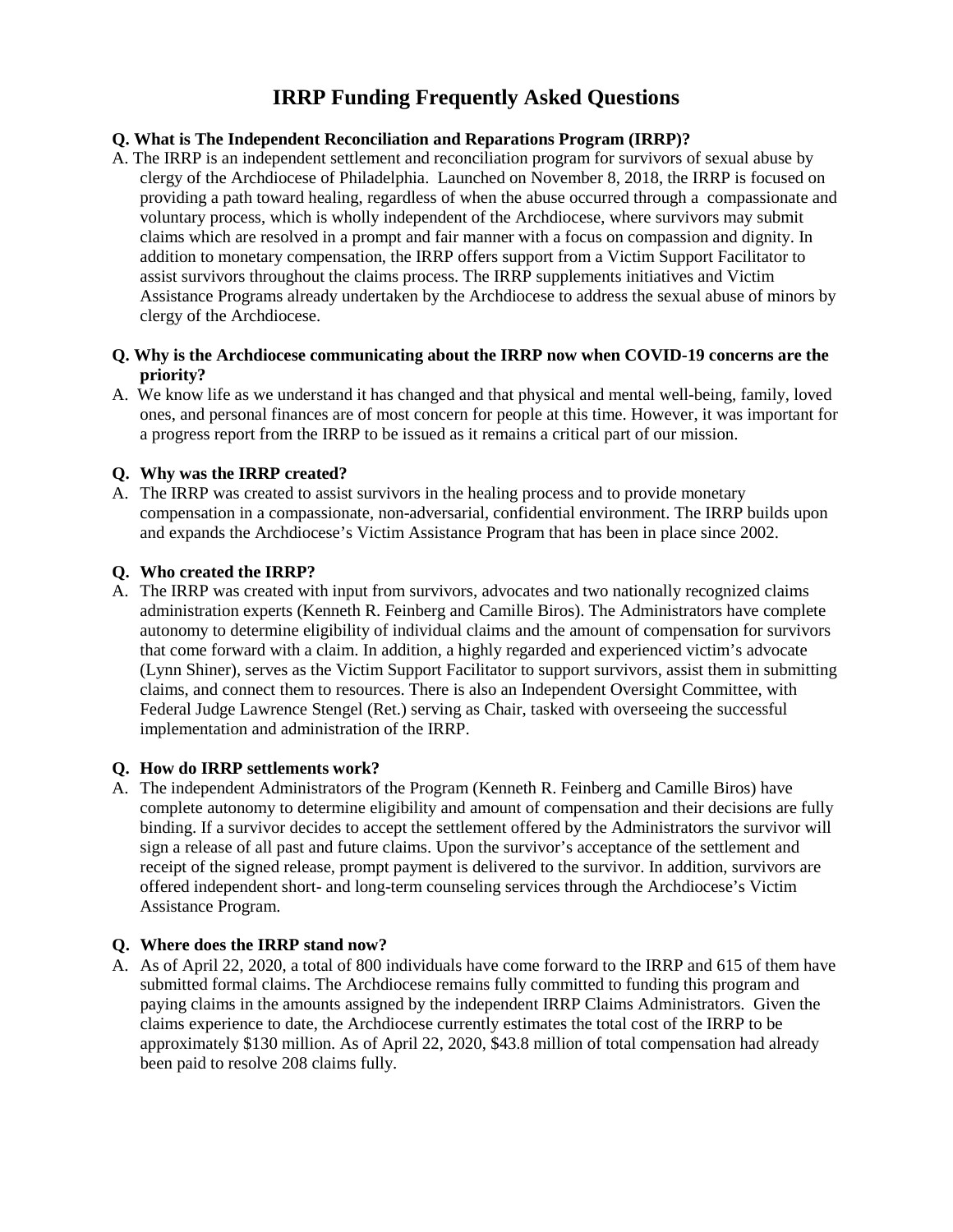# **IRRP Funding Frequently Asked Questions**

## **Q. What is The Independent Reconciliation and Reparations Program (IRRP)?**

A. The IRRP is an independent settlement and reconciliation program for survivors of sexual abuse by clergy of the Archdiocese of Philadelphia. Launched on November 8, 2018, the IRRP is focused on providing a path toward healing, regardless of when the abuse occurred through a compassionate and voluntary process, which is wholly independent of the Archdiocese, where survivors may submit claims which are resolved in a prompt and fair manner with a focus on compassion and dignity. In addition to monetary compensation, the IRRP offers support from a Victim Support Facilitator to assist survivors throughout the claims process. The IRRP supplements initiatives and Victim Assistance Programs already undertaken by the Archdiocese to address the sexual abuse of minors by clergy of the Archdiocese.

## **Q. Why is the Archdiocese communicating about the IRRP now when COVID-19 concerns are the priority?**

A. We know life as we understand it has changed and that physical and mental well-being, family, loved ones, and personal finances are of most concern for people at this time. However, it was important for a progress report from the IRRP to be issued as it remains a critical part of our mission.

## **Q. Why was the IRRP created?**

A. The IRRP was created to assist survivors in the healing process and to provide monetary compensation in a compassionate, non-adversarial, confidential environment. The IRRP builds upon and expands the Archdiocese's Victim Assistance Program that has been in place since 2002.

## **Q. Who created the IRRP?**

A. The IRRP was created with input from survivors, advocates and two nationally recognized claims administration experts (Kenneth R. Feinberg and Camille Biros). The Administrators have complete autonomy to determine eligibility of individual claims and the amount of compensation for survivors that come forward with a claim. In addition, a highly regarded and experienced victim's advocate (Lynn Shiner), serves as the Victim Support Facilitator to support survivors, assist them in submitting claims, and connect them to resources. There is also an Independent Oversight Committee, with Federal Judge Lawrence Stengel (Ret.) serving as Chair, tasked with overseeing the successful implementation and administration of the IRRP.

#### **Q. How do IRRP settlements work?**

A. The independent Administrators of the Program (Kenneth R. Feinberg and Camille Biros) have complete autonomy to determine eligibility and amount of compensation and their decisions are fully binding. If a survivor decides to accept the settlement offered by the Administrators the survivor will sign a release of all past and future claims. Upon the survivor's acceptance of the settlement and receipt of the signed release, prompt payment is delivered to the survivor. In addition, survivors are offered independent short- and long-term counseling services through the Archdiocese's Victim Assistance Program.

#### **Q. Where does the IRRP stand now?**

A. As of April 22, 2020, a total of 800 individuals have come forward to the IRRP and 615 of them have submitted formal claims. The Archdiocese remains fully committed to funding this program and paying claims in the amounts assigned by the independent IRRP Claims Administrators. Given the claims experience to date, the Archdiocese currently estimates the total cost of the IRRP to be approximately \$130 million. As of April 22, 2020, \$43.8 million of total compensation had already been paid to resolve 208 claims fully.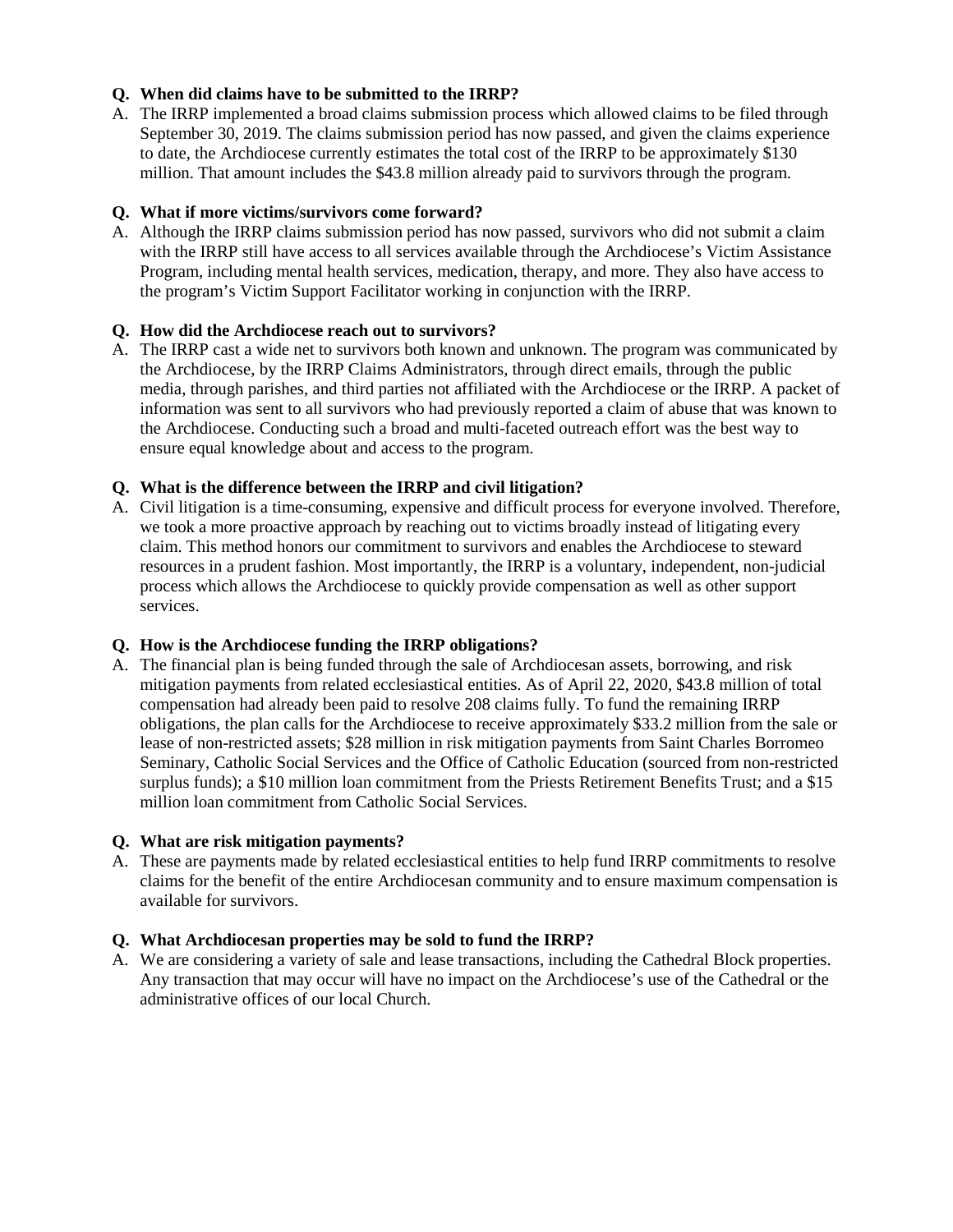## **Q. When did claims have to be submitted to the IRRP?**

A. The IRRP implemented a broad claims submission process which allowed claims to be filed through September 30, 2019. The claims submission period has now passed, and given the claims experience to date, the Archdiocese currently estimates the total cost of the IRRP to be approximately \$130 million. That amount includes the \$43.8 million already paid to survivors through the program.

#### **Q. What if more victims/survivors come forward?**

A. Although the IRRP claims submission period has now passed, survivors who did not submit a claim with the IRRP still have access to all services available through the Archdiocese's Victim Assistance Program, including mental health services, medication, therapy, and more. They also have access to the program's Victim Support Facilitator working in conjunction with the IRRP.

## **Q. How did the Archdiocese reach out to survivors?**

A. The IRRP cast a wide net to survivors both known and unknown. The program was communicated by the Archdiocese, by the IRRP Claims Administrators, through direct emails, through the public media, through parishes, and third parties not affiliated with the Archdiocese or the IRRP. A packet of information was sent to all survivors who had previously reported a claim of abuse that was known to the Archdiocese. Conducting such a broad and multi-faceted outreach effort was the best way to ensure equal knowledge about and access to the program.

## **Q. What is the difference between the IRRP and civil litigation?**

A. Civil litigation is a time-consuming, expensive and difficult process for everyone involved. Therefore, we took a more proactive approach by reaching out to victims broadly instead of litigating every claim. This method honors our commitment to survivors and enables the Archdiocese to steward resources in a prudent fashion. Most importantly, the IRRP is a voluntary, independent, non-judicial process which allows the Archdiocese to quickly provide compensation as well as other support services.

#### **Q. How is the Archdiocese funding the IRRP obligations?**

A. The financial plan is being funded through the sale of Archdiocesan assets, borrowing, and risk mitigation payments from related ecclesiastical entities. As of April 22, 2020, \$43.8 million of total compensation had already been paid to resolve 208 claims fully. To fund the remaining IRRP obligations, the plan calls for the Archdiocese to receive approximately \$33.2 million from the sale or lease of non-restricted assets; \$28 million in risk mitigation payments from Saint Charles Borromeo Seminary, Catholic Social Services and the Office of Catholic Education (sourced from non-restricted surplus funds); a \$10 million loan commitment from the Priests Retirement Benefits Trust; and a \$15 million loan commitment from Catholic Social Services.

#### **Q. What are risk mitigation payments?**

A. These are payments made by related ecclesiastical entities to help fund IRRP commitments to resolve claims for the benefit of the entire Archdiocesan community and to ensure maximum compensation is available for survivors.

#### **Q. What Archdiocesan properties may be sold to fund the IRRP?**

A. We are considering a variety of sale and lease transactions, including the Cathedral Block properties. Any transaction that may occur will have no impact on the Archdiocese's use of the Cathedral or the administrative offices of our local Church.